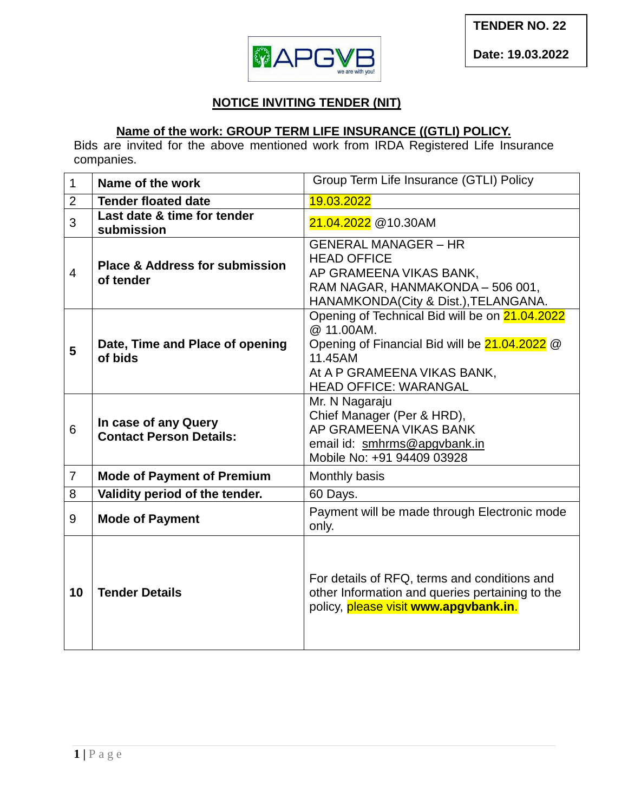

## **NOTICE INVITING TENDER (NIT)**

## **Name of the work: GROUP TERM LIFE INSURANCE ((GTLI) POLICY.**

Bids are invited for the above mentioned work from IRDA Registered Life Insurance companies.

| $\mathbf{1}$   | Name of the work                                       | Group Term Life Insurance (GTLI) Policy                                                                                                                                                 |  |  |
|----------------|--------------------------------------------------------|-----------------------------------------------------------------------------------------------------------------------------------------------------------------------------------------|--|--|
| 2              | <b>Tender floated date</b>                             | 19.03.2022                                                                                                                                                                              |  |  |
| 3              | Last date & time for tender<br>submission              | 21.04.2022 @10.30AM                                                                                                                                                                     |  |  |
| $\overline{4}$ | <b>Place &amp; Address for submission</b><br>of tender | <b>GENERAL MANAGER - HR</b><br><b>HEAD OFFICE</b><br>AP GRAMEENA VIKAS BANK,<br>RAM NAGAR, HANMAKONDA - 506 001,<br>HANAMKONDA(City & Dist.), TELANGANA.                                |  |  |
| 5              | Date, Time and Place of opening<br>of bids             | Opening of Technical Bid will be on 21.04.2022<br>@ 11.00AM.<br>Opening of Financial Bid will be 21.04.2022 @<br>11.45AM<br>At A P GRAMEENA VIKAS BANK,<br><b>HEAD OFFICE: WARANGAL</b> |  |  |
| 6              | In case of any Query<br><b>Contact Person Details:</b> | Mr. N Nagaraju<br>Chief Manager (Per & HRD),<br>AP GRAMEENA VIKAS BANK<br>email id: smhrms@apgvbank.in<br>Mobile No: +91 94409 03928                                                    |  |  |
| $\overline{7}$ | <b>Mode of Payment of Premium</b>                      | Monthly basis                                                                                                                                                                           |  |  |
| 8              | Validity period of the tender.                         | 60 Days.                                                                                                                                                                                |  |  |
| 9              | <b>Mode of Payment</b>                                 | Payment will be made through Electronic mode<br>only.                                                                                                                                   |  |  |
| 10             | <b>Tender Details</b>                                  | For details of RFQ, terms and conditions and<br>other Information and queries pertaining to the<br>policy, please visit www.apgvbank.in.                                                |  |  |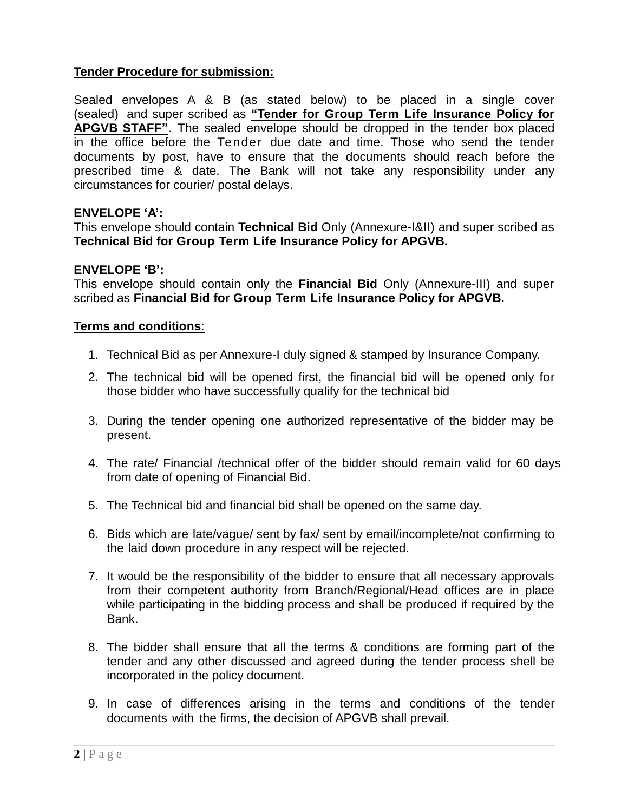### **Tender Procedure for submission:**

Sealed envelopes A & B (as stated below) to be placed in a single cover (sealed) and super scribed as **"Tender for Group Term Life Insurance Policy for APGVB STAFF"**. The sealed envelope should be dropped in the tender box placed in the office before the Tender due date and time. Those who send the tender documents by post, have to ensure that the documents should reach before the prescribed time & date. The Bank will not take any responsibility under any circumstances for courier/ postal delays.

### **ENVELOPE 'A':**

This envelope should contain **Technical Bid** Only (Annexure-I&II) and super scribed as **Technical Bid for Group Term Life Insurance Policy for APGVB.**

### **ENVELOPE 'B':**

This envelope should contain only the **Financial Bid** Only (Annexure-III) and super scribed as **Financial Bid for Group Term Life Insurance Policy for APGVB.**

### **Terms and conditions**:

- 1. Technical Bid as per Annexure-I duly signed & stamped by Insurance Company.
- 2. The technical bid will be opened first, the financial bid will be opened only for those bidder who have successfully qualify for the technical bid
- 3. During the tender opening one authorized representative of the bidder may be present.
- 4. The rate/ Financial /technical offer of the bidder should remain valid for 60 days from date of opening of Financial Bid.
- 5. The Technical bid and financial bid shall be opened on the same day.
- 6. Bids which are late/vague/ sent by fax/ sent by email/incomplete/not confirming to the laid down procedure in any respect will be rejected.
- 7. It would be the responsibility of the bidder to ensure that all necessary approvals from their competent authority from Branch/Regional/Head offices are in place while participating in the bidding process and shall be produced if required by the Bank.
- 8. The bidder shall ensure that all the terms & conditions are forming part of the tender and any other discussed and agreed during the tender process shell be incorporated in the policy document.
- 9. In case of differences arising in the terms and conditions of the tender documents with the firms, the decision of APGVB shall prevail.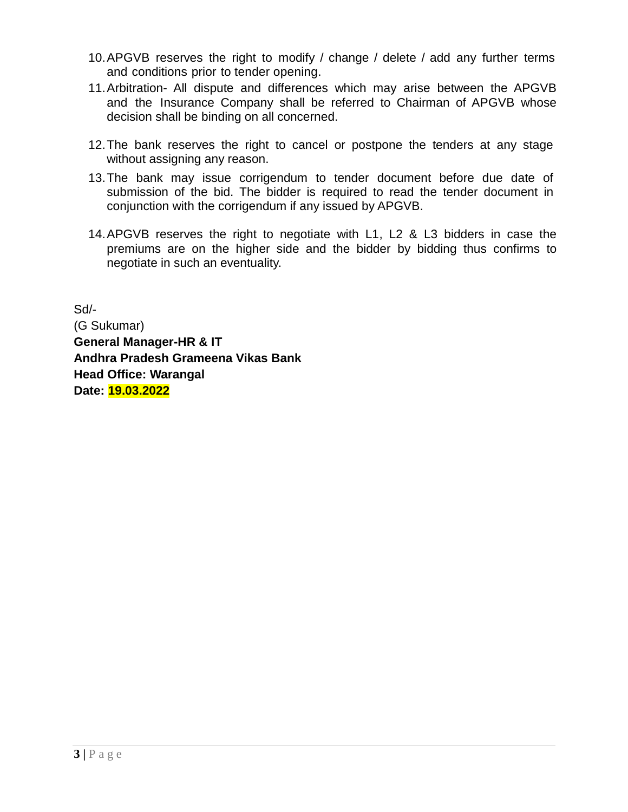- 10.APGVB reserves the right to modify / change / delete / add any further terms and conditions prior to tender opening.
- 11.Arbitration- All dispute and differences which may arise between the APGVB and the Insurance Company shall be referred to Chairman of APGVB whose decision shall be binding on all concerned.
- 12.The bank reserves the right to cancel or postpone the tenders at any stage without assigning any reason.
- 13.The bank may issue corrigendum to tender document before due date of submission of the bid. The bidder is required to read the tender document in conjunction with the corrigendum if any issued by APGVB.
- 14.APGVB reserves the right to negotiate with L1, L2 & L3 bidders in case the premiums are on the higher side and the bidder by bidding thus confirms to negotiate in such an eventuality.

Sd/- (G Sukumar) **General Manager-HR & IT Andhra Pradesh Grameena Vikas Bank Head Office: Warangal Date: 19.03.2022**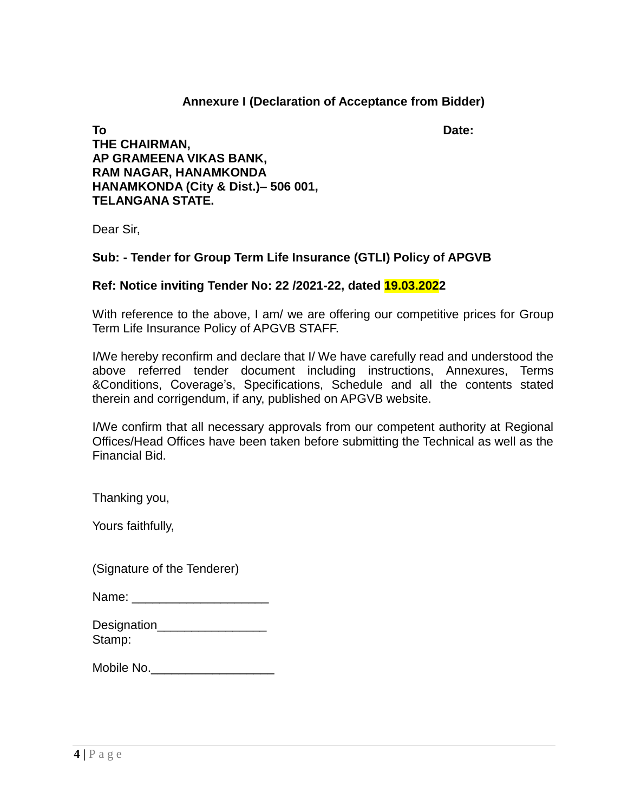### **Annexure I (Declaration of Acceptance from Bidder)**

**To Date: THE CHAIRMAN, AP GRAMEENA VIKAS BANK, RAM NAGAR, HANAMKONDA HANAMKONDA (City & Dist.)– 506 001, TELANGANA STATE.**

Dear Sir,

### **Sub: - Tender for Group Term Life Insurance (GTLI) Policy of APGVB**

### **Ref: Notice inviting Tender No: 22 /2021-22, dated 19.03.2022**

With reference to the above, I am/ we are offering our competitive prices for Group Term Life Insurance Policy of APGVB STAFF.

I/We hereby reconfirm and declare that I/ We have carefully read and understood the above referred tender document including instructions, Annexures, Terms &Conditions, Coverage's, Specifications, Schedule and all the contents stated therein and corrigendum, if any, published on APGVB website.

I/We confirm that all necessary approvals from our competent authority at Regional Offices/Head Offices have been taken before submitting the Technical as well as the Financial Bid.

Thanking you,

Yours faithfully,

(Signature of the Tenderer)

| Name: |  |
|-------|--|
|-------|--|

| Designation |  |
|-------------|--|
| Stamp:      |  |

| Mobile No. |  |  |  |  |
|------------|--|--|--|--|
|            |  |  |  |  |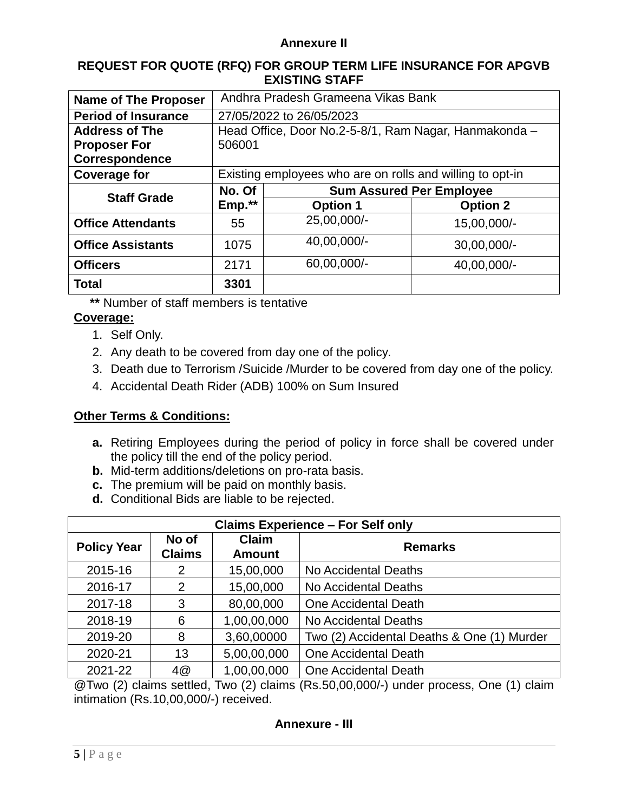#### **Annexure II**

#### **REQUEST FOR QUOTE (RFQ) FOR GROUP TERM LIFE INSURANCE FOR APGVB EXISTING STAFF**

| <b>Name of The Proposer</b> | Andhra Pradesh Grameena Vikas Bank                        |                                 |                 |  |
|-----------------------------|-----------------------------------------------------------|---------------------------------|-----------------|--|
| <b>Period of Insurance</b>  | 27/05/2022 to 26/05/2023                                  |                                 |                 |  |
| <b>Address of The</b>       | Head Office, Door No.2-5-8/1, Ram Nagar, Hanmakonda -     |                                 |                 |  |
| <b>Proposer For</b>         | 506001                                                    |                                 |                 |  |
| <b>Correspondence</b>       |                                                           |                                 |                 |  |
| <b>Coverage for</b>         | Existing employees who are on rolls and willing to opt-in |                                 |                 |  |
| <b>Staff Grade</b>          | No. Of                                                    | <b>Sum Assured Per Employee</b> |                 |  |
|                             | Emp.**                                                    | <b>Option 1</b>                 | <b>Option 2</b> |  |
| <b>Office Attendants</b>    | 55                                                        | 25,00,000/-                     | 15,00,000/-     |  |
| <b>Office Assistants</b>    | 1075                                                      | 40,00,000/-                     | 30,00,000/-     |  |
| <b>Officers</b>             | 2171                                                      | 60,00,000/-                     | 40,00,000/-     |  |
| <b>Total</b>                | 3301                                                      |                                 |                 |  |

**\*\*** Number of staff members is tentative

### **Coverage:**

- 1. Self Only.
- 2. Any death to be covered from day one of the policy.
- 3. Death due to Terrorism /Suicide /Murder to be covered from day one of the policy.
- 4. Accidental Death Rider (ADB) 100% on Sum Insured

### **Other Terms & Conditions:**

- **a.** Retiring Employees during the period of policy in force shall be covered under the policy till the end of the policy period.
- **b.** Mid-term additions/deletions on pro-rata basis.
- **c.** The premium will be paid on monthly basis.
- **d.** Conditional Bids are liable to be rejected.

| <b>Claims Experience - For Self only</b> |                        |                               |                                            |  |
|------------------------------------------|------------------------|-------------------------------|--------------------------------------------|--|
| <b>Policy Year</b>                       | No of<br><b>Claims</b> | <b>Claim</b><br><b>Amount</b> | <b>Remarks</b>                             |  |
| 2015-16                                  | 2                      | 15,00,000                     | No Accidental Deaths                       |  |
| 2016-17                                  | 2                      | 15,00,000                     | No Accidental Deaths                       |  |
| 2017-18                                  | 3                      | 80,00,000                     | One Accidental Death                       |  |
| 2018-19                                  | 6                      | 1,00,00,000                   | No Accidental Deaths                       |  |
| 2019-20                                  | 8                      | 3,60,00000                    | Two (2) Accidental Deaths & One (1) Murder |  |
| 2020-21                                  | 13                     | 5,00,00,000                   | One Accidental Death                       |  |
| 2021-22<br>1,00,00,000<br>4@             |                        |                               | One Accidental Death                       |  |

@Two (2) claims settled, Two (2) claims (Rs.50,00,000/-) under process, One (1) claim intimation (Rs.10,00,000/-) received.

### **Annexure - III**